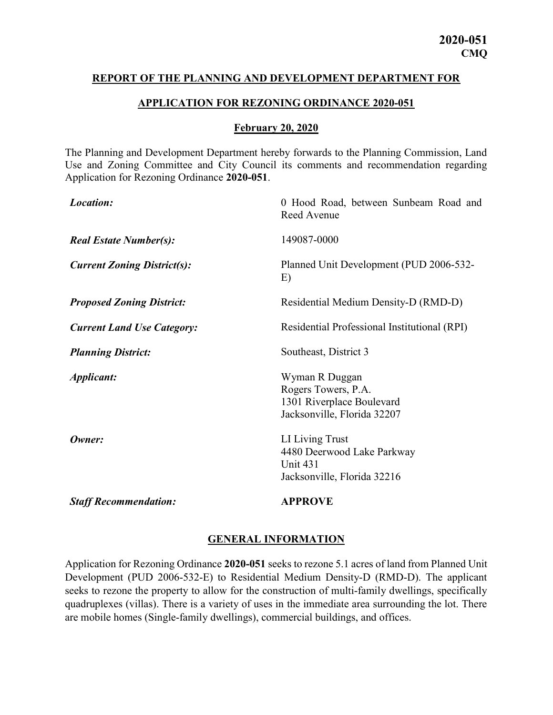#### REPORT OF THE PLANNING AND DEVELOPMENT DEPARTMENT FOR

#### APPLICATION FOR REZONING ORDINANCE 2020-051

# February 20, 2020

The Planning and Development Department hereby forwards to the Planning Commission, Land Use and Zoning Committee and City Council its comments and recommendation regarding Application for Rezoning Ordinance 2020-051.

| Location:                          | 0 Hood Road, between Sunbeam Road and<br>Reed Avenue                                              |
|------------------------------------|---------------------------------------------------------------------------------------------------|
| <b>Real Estate Number(s):</b>      | 149087-0000                                                                                       |
| <b>Current Zoning District(s):</b> | Planned Unit Development (PUD 2006-532-<br>E)                                                     |
| <b>Proposed Zoning District:</b>   | Residential Medium Density-D (RMD-D)                                                              |
| <b>Current Land Use Category:</b>  | Residential Professional Institutional (RPI)                                                      |
| <b>Planning District:</b>          | Southeast, District 3                                                                             |
| <i><b>Applicant:</b></i>           | Wyman R Duggan<br>Rogers Towers, P.A.<br>1301 Riverplace Boulevard<br>Jacksonville, Florida 32207 |
| Owner:                             | LI Living Trust<br>4480 Deerwood Lake Parkway<br><b>Unit 431</b><br>Jacksonville, Florida 32216   |
| <b>Staff Recommendation:</b>       | <b>APPROVE</b>                                                                                    |

## GENERAL INFORMATION

Application for Rezoning Ordinance 2020-051 seeks to rezone 5.1 acres of land from Planned Unit Development (PUD 2006-532-E) to Residential Medium Density-D (RMD-D). The applicant seeks to rezone the property to allow for the construction of multi-family dwellings, specifically quadruplexes (villas). There is a variety of uses in the immediate area surrounding the lot. There are mobile homes (Single-family dwellings), commercial buildings, and offices.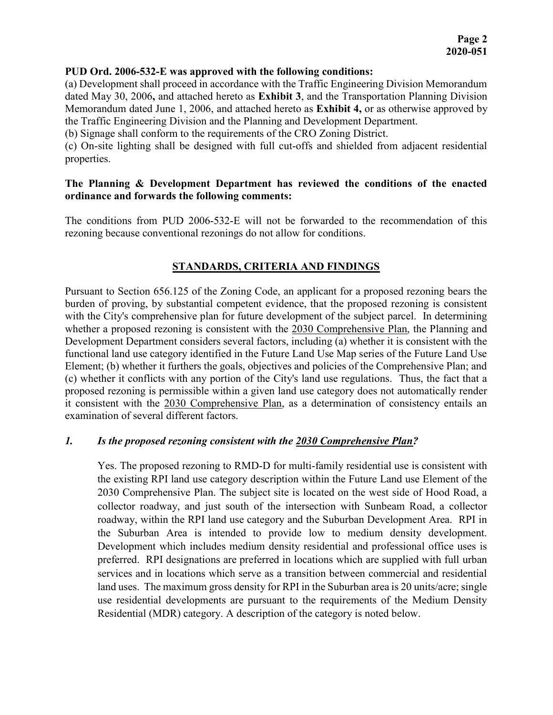#### PUD Ord. 2006-532-E was approved with the following conditions:

(a) Development shall proceed in accordance with the Traffic Engineering Division Memorandum dated May 30, 2006, and attached hereto as Exhibit 3, and the Transportation Planning Division Memorandum dated June 1, 2006, and attached hereto as Exhibit 4, or as otherwise approved by the Traffic Engineering Division and the Planning and Development Department.

(b) Signage shall conform to the requirements of the CRO Zoning District.

(c) On-site lighting shall be designed with full cut-offs and shielded from adjacent residential properties.

## The Planning & Development Department has reviewed the conditions of the enacted ordinance and forwards the following comments:

The conditions from PUD 2006-532-E will not be forwarded to the recommendation of this rezoning because conventional rezonings do not allow for conditions.

# STANDARDS, CRITERIA AND FINDINGS

Pursuant to Section 656.125 of the Zoning Code, an applicant for a proposed rezoning bears the burden of proving, by substantial competent evidence, that the proposed rezoning is consistent with the City's comprehensive plan for future development of the subject parcel. In determining whether a proposed rezoning is consistent with the 2030 Comprehensive Plan, the Planning and Development Department considers several factors, including (a) whether it is consistent with the functional land use category identified in the Future Land Use Map series of the Future Land Use Element; (b) whether it furthers the goals, objectives and policies of the Comprehensive Plan; and (c) whether it conflicts with any portion of the City's land use regulations. Thus, the fact that a proposed rezoning is permissible within a given land use category does not automatically render it consistent with the 2030 Comprehensive Plan, as a determination of consistency entails an examination of several different factors.

## 1. Is the proposed rezoning consistent with the 2030 Comprehensive Plan?

Yes. The proposed rezoning to RMD-D for multi-family residential use is consistent with the existing RPI land use category description within the Future Land use Element of the 2030 Comprehensive Plan. The subject site is located on the west side of Hood Road, a collector roadway, and just south of the intersection with Sunbeam Road, a collector roadway, within the RPI land use category and the Suburban Development Area. RPI in the Suburban Area is intended to provide low to medium density development. Development which includes medium density residential and professional office uses is preferred. RPI designations are preferred in locations which are supplied with full urban services and in locations which serve as a transition between commercial and residential land uses. The maximum gross density for RPI in the Suburban area is 20 units/acre; single use residential developments are pursuant to the requirements of the Medium Density Residential (MDR) category. A description of the category is noted below.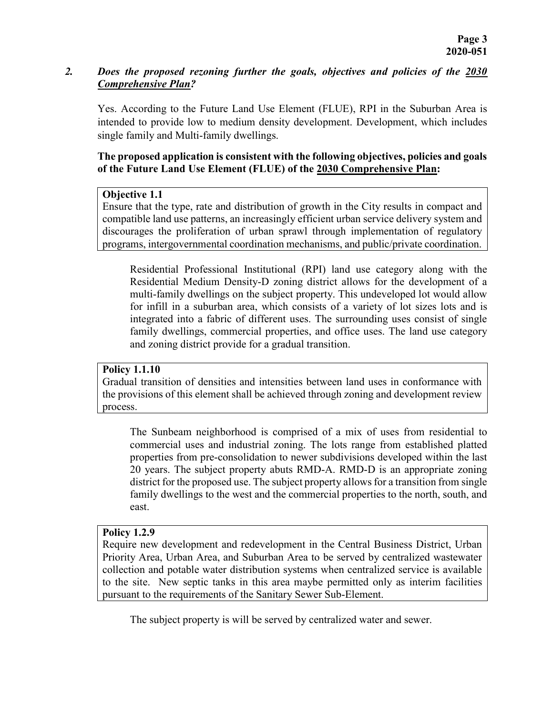## 2. Does the proposed rezoning further the goals, objectives and policies of the 2030 Comprehensive Plan?

Yes. According to the Future Land Use Element (FLUE), RPI in the Suburban Area is intended to provide low to medium density development. Development, which includes single family and Multi-family dwellings.

The proposed application is consistent with the following objectives, policies and goals of the Future Land Use Element (FLUE) of the 2030 Comprehensive Plan:

#### Objective 1.1

Ensure that the type, rate and distribution of growth in the City results in compact and compatible land use patterns, an increasingly efficient urban service delivery system and discourages the proliferation of urban sprawl through implementation of regulatory programs, intergovernmental coordination mechanisms, and public/private coordination.

Residential Professional Institutional (RPI) land use category along with the Residential Medium Density-D zoning district allows for the development of a multi-family dwellings on the subject property. This undeveloped lot would allow for infill in a suburban area, which consists of a variety of lot sizes lots and is integrated into a fabric of different uses. The surrounding uses consist of single family dwellings, commercial properties, and office uses. The land use category and zoning district provide for a gradual transition.

#### Policy 1.1.10

Gradual transition of densities and intensities between land uses in conformance with the provisions of this element shall be achieved through zoning and development review process.

The Sunbeam neighborhood is comprised of a mix of uses from residential to commercial uses and industrial zoning. The lots range from established platted properties from pre-consolidation to newer subdivisions developed within the last 20 years. The subject property abuts RMD-A. RMD-D is an appropriate zoning district for the proposed use. The subject property allows for a transition from single family dwellings to the west and the commercial properties to the north, south, and east.

#### Policy 1.2.9

Require new development and redevelopment in the Central Business District, Urban Priority Area, Urban Area, and Suburban Area to be served by centralized wastewater collection and potable water distribution systems when centralized service is available to the site. New septic tanks in this area maybe permitted only as interim facilities pursuant to the requirements of the Sanitary Sewer Sub-Element.

The subject property is will be served by centralized water and sewer.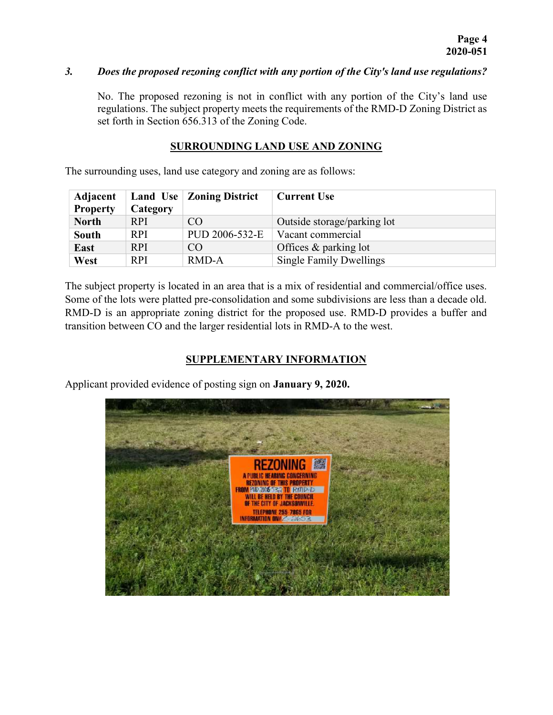## 3. Does the proposed rezoning conflict with any portion of the City's land use regulations?

No. The proposed rezoning is not in conflict with any portion of the City's land use regulations. The subject property meets the requirements of the RMD-D Zoning District as set forth in Section 656.313 of the Zoning Code.

## SURROUNDING LAND USE AND ZONING

The surrounding uses, land use category and zoning are as follows:

| Adjacent        |            | Land Use   Zoning District | <b>Current Use</b>             |
|-----------------|------------|----------------------------|--------------------------------|
| <b>Property</b> | Category   |                            |                                |
| <b>North</b>    | <b>RPI</b> | CO                         | Outside storage/parking lot    |
| <b>South</b>    | <b>RPI</b> | PUD 2006-532-E             | Vacant commercial              |
| East            | <b>RPI</b> | CO                         | Offices & parking lot          |
| West            | <b>RPI</b> | RMD-A                      | <b>Single Family Dwellings</b> |

The subject property is located in an area that is a mix of residential and commercial/office uses. Some of the lots were platted pre-consolidation and some subdivisions are less than a decade old. RMD-D is an appropriate zoning district for the proposed use. RMD-D provides a buffer and transition between CO and the larger residential lots in RMD-A to the west.

# SUPPLEMENTARY INFORMATION

Applicant provided evidence of posting sign on January 9, 2020.

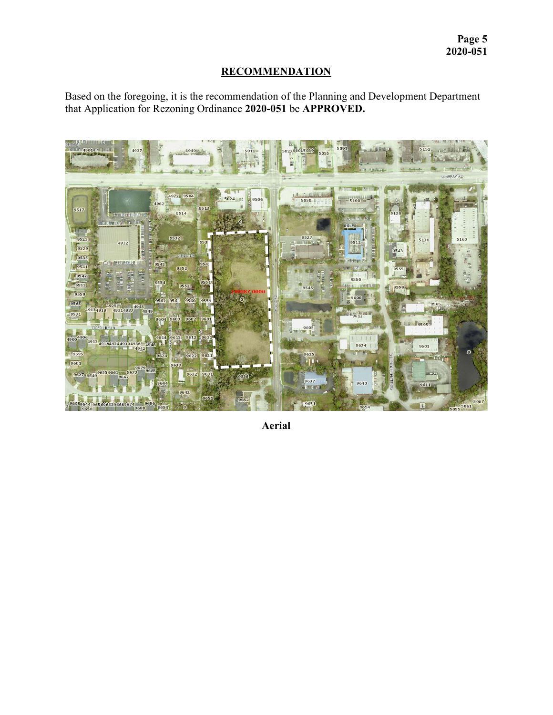# **RECOMMENDATION**

Based on the foregoing, it is the recommendation of the Planning and Development Department that Application for Rezoning Ordinance 2020-051 be APPROVED.



Aerial